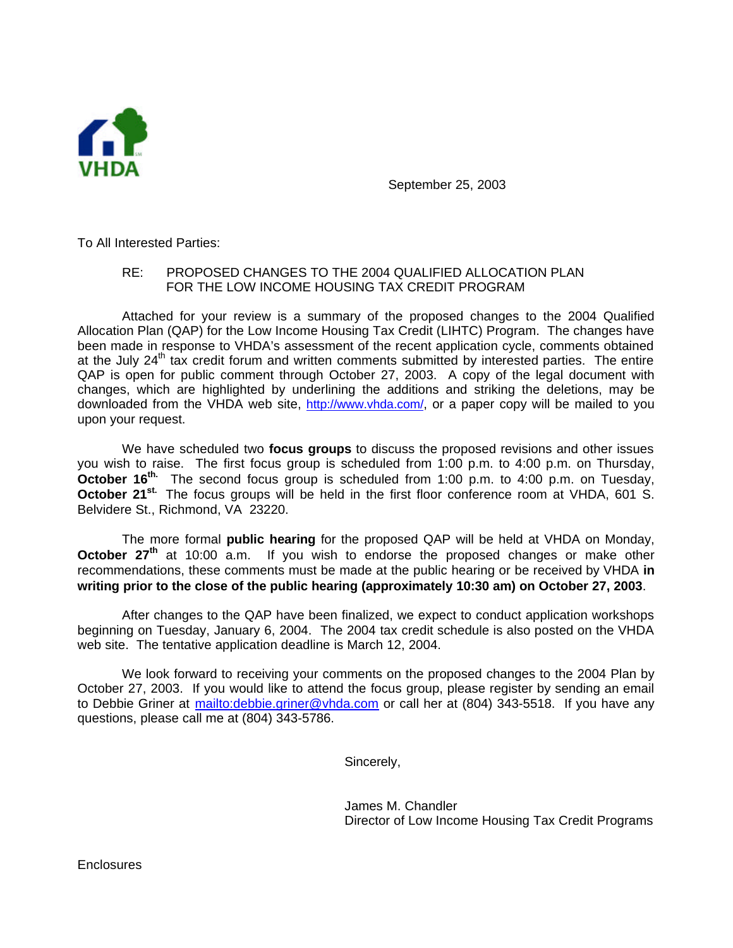

September 25, 2003

To All Interested Parties:

## RE: PROPOSED CHANGES TO THE 2004 QUALIFIED ALLOCATION PLAN FOR THE LOW INCOME HOUSING TAX CREDIT PROGRAM

Attached for your review is a summary of the proposed changes to the 2004 Qualified Allocation Plan (QAP) for the Low Income Housing Tax Credit (LIHTC) Program. The changes have been made in response to VHDA's assessment of the recent application cycle, comments obtained at the July  $24<sup>th</sup>$  tax credit forum and written comments submitted by interested parties. The entire QAP is open for public comment through October 27, 2003. A copy of the legal document with changes, which are highlighted by underlining the additions and striking the deletions, may be downloaded from the VHDA web site, http://www.vhda.com/, or a paper copy will be mailed to you upon your request.

We have scheduled two **focus groups** to discuss the proposed revisions and other issues you wish to raise. The first focus group is scheduled from 1:00 p.m. to 4:00 p.m. on Thursday, **October 16<sup>th.</sup>** The second focus group is scheduled from 1:00 p.m. to 4:00 p.m. on Tuesday, **October 21st.** The focus groups will be held in the first floor conference room at VHDA, 601 S. Belvidere St., Richmond, VA 23220.

The more formal **public hearing** for the proposed QAP will be held at VHDA on Monday, **October 27th** at 10:00 a.m. If you wish to endorse the proposed changes or make other recommendations, these comments must be made at the public hearing or be received by VHDA **in writing prior to the close of the public hearing (approximately 10:30 am) on October 27, 2003**.

After changes to the QAP have been finalized, we expect to conduct application workshops beginning on Tuesday, January 6, 2004. The 2004 tax credit schedule is also posted on the VHDA web site. The tentative application deadline is March 12, 2004.

We look forward to receiving your comments on the proposed changes to the 2004 Plan by October 27, 2003. If you would like to attend the focus group, please register by sending an email to Debbie Griner at mailto: debbie.griner@vhda.com or call her at (804) 343-5518. If you have any questions, please call me at (804) 343-5786.

Sincerely,

James M. Chandler Director of Low Income Housing Tax Credit Programs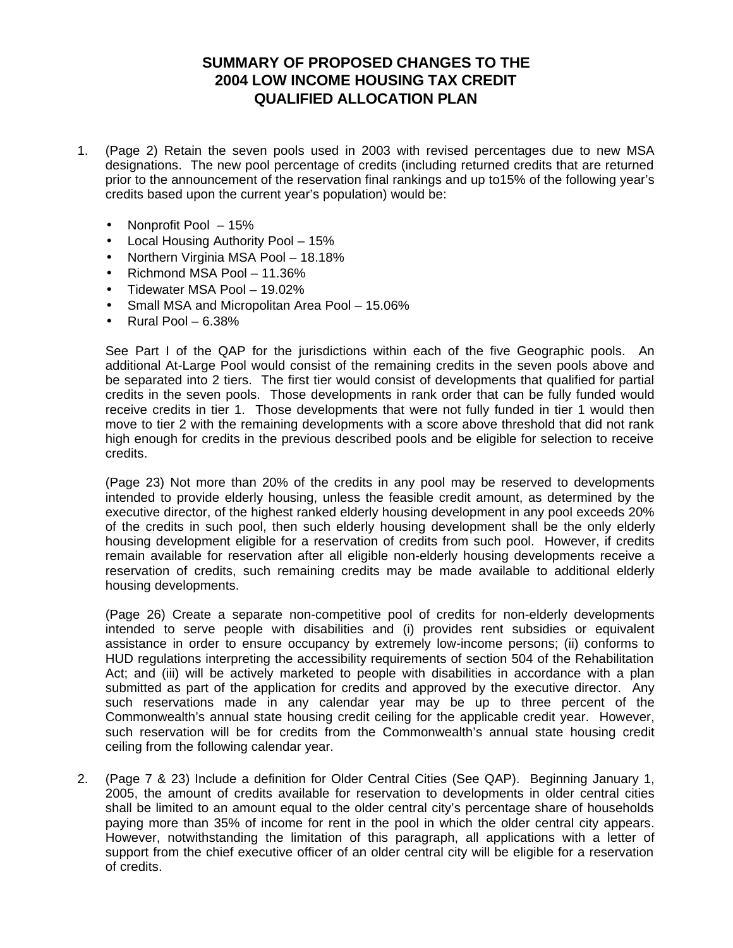## **SUMMARY OF PROPOSED CHANGES TO THE 2004 LOW INCOME HOUSING TAX CREDIT QUALIFIED ALLOCATION PLAN**

- 1. (Page 2) Retain the seven pools used in 2003 with revised percentages due to new MSA designations. The new pool percentage of credits (including returned credits that are returned prior to the announcement of the reservation final rankings and up to15% of the following year's credits based upon the current year's population) would be:
	- Nonprofit Pool 15%
	- Local Housing Authority Pool 15%
	- Northern Virginia MSA Pool 18.18%
	- Richmond MSA Pool 11.36%
	- Tidewater MSA Pool 19.02%
	- Small MSA and Micropolitan Area Pool 15.06%
	- Rural Pool  $-6.38\%$

See Part I of the QAP for the jurisdictions within each of the five Geographic pools. An additional At-Large Pool would consist of the remaining credits in the seven pools above and be separated into 2 tiers. The first tier would consist of developments that qualified for partial credits in the seven pools. Those developments in rank order that can be fully funded would receive credits in tier 1. Those developments that were not fully funded in tier 1 would then move to tier 2 with the remaining developments with a score above threshold that did not rank high enough for credits in the previous described pools and be eligible for selection to receive credits.

(Page 23) Not more than 20% of the credits in any pool may be reserved to developments intended to provide elderly housing, unless the feasible credit amount, as determined by the executive director, of the highest ranked elderly housing development in any pool exceeds 20% of the credits in such pool, then such elderly housing development shall be the only elderly housing development eligible for a reservation of credits from such pool. However, if credits remain available for reservation after all eligible non-elderly housing developments receive a reservation of credits, such remaining credits may be made available to additional elderly housing developments.

(Page 26) Create a separate non-competitive pool of credits for non-elderly developments intended to serve people with disabilities and (i) provides rent subsidies or equivalent assistance in order to ensure occupancy by extremely low-income persons; (ii) conforms to HUD regulations interpreting the accessibility requirements of section 504 of the Rehabilitation Act; and (iii) will be actively marketed to people with disabilities in accordance with a plan submitted as part of the application for credits and approved by the executive director. Any such reservations made in any calendar year may be up to three percent of the Commonwealth's annual state housing credit ceiling for the applicable credit year. However, such reservation will be for credits from the Commonwealth's annual state housing credit ceiling from the following calendar year.

2. (Page 7 & 23) Include a definition for Older Central Cities (See QAP). Beginning January 1, 2005, the amount of credits available for reservation to developments in older central cities shall be limited to an amount equal to the older central city's percentage share of households paying more than 35% of income for rent in the pool in which the older central city appears. However, notwithstanding the limitation of this paragraph, all applications with a letter of support from the chief executive officer of an older central city will be eligible for a reservation of credits.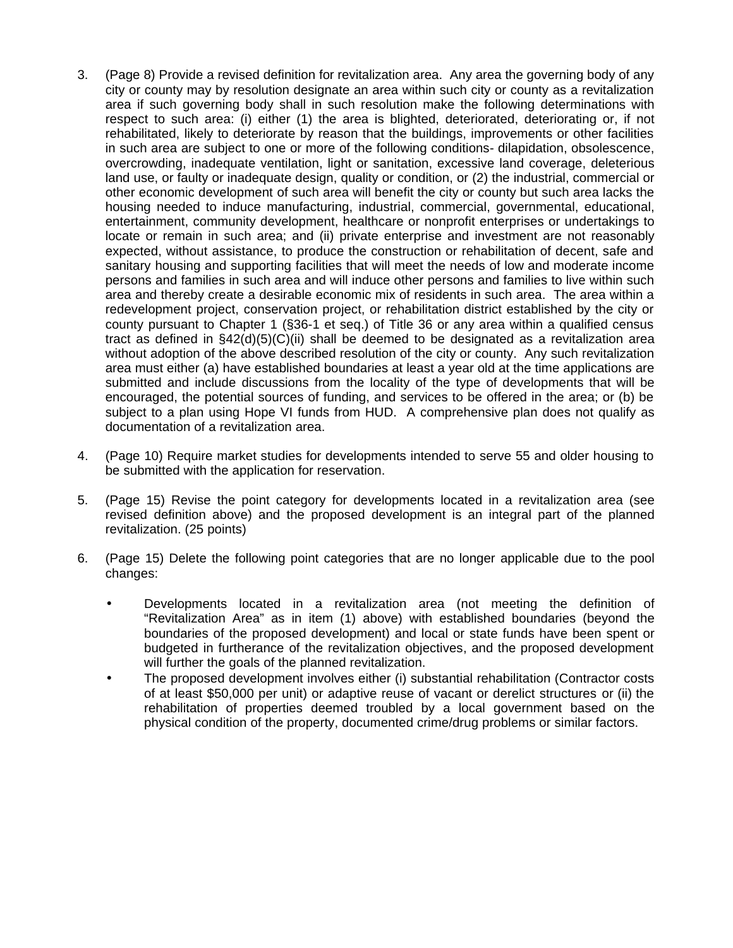- 3. (Page 8) Provide a revised definition for revitalization area. Any area the governing body of any city or county may by resolution designate an area within such city or county as a revitalization area if such governing body shall in such resolution make the following determinations with respect to such area: (i) either (1) the area is blighted, deteriorated, deteriorating or, if not rehabilitated, likely to deteriorate by reason that the buildings, improvements or other facilities in such area are subject to one or more of the following conditions- dilapidation, obsolescence, overcrowding, inadequate ventilation, light or sanitation, excessive land coverage, deleterious land use, or faulty or inadequate design, quality or condition, or (2) the industrial, commercial or other economic development of such area will benefit the city or county but such area lacks the housing needed to induce manufacturing, industrial, commercial, governmental, educational, entertainment, community development, healthcare or nonprofit enterprises or undertakings to locate or remain in such area; and (ii) private enterprise and investment are not reasonably expected, without assistance, to produce the construction or rehabilitation of decent, safe and sanitary housing and supporting facilities that will meet the needs of low and moderate income persons and families in such area and will induce other persons and families to live within such area and thereby create a desirable economic mix of residents in such area. The area within a redevelopment project, conservation project, or rehabilitation district established by the city or county pursuant to Chapter 1 (§36-1 et seq.) of Title 36 or any area within a qualified census tract as defined in  $\S42(d)(5)(C)(ii)$  shall be deemed to be designated as a revitalization area without adoption of the above described resolution of the city or county. Any such revitalization area must either (a) have established boundaries at least a year old at the time applications are submitted and include discussions from the locality of the type of developments that will be encouraged, the potential sources of funding, and services to be offered in the area; or (b) be subject to a plan using Hope VI funds from HUD. A comprehensive plan does not qualify as documentation of a revitalization area.
- 4. (Page 10) Require market studies for developments intended to serve 55 and older housing to be submitted with the application for reservation.
- 5. (Page 15) Revise the point category for developments located in a revitalization area (see revised definition above) and the proposed development is an integral part of the planned revitalization. (25 points)
- 6. (Page 15) Delete the following point categories that are no longer applicable due to the pool changes:
	- Developments located in a revitalization area (not meeting the definition of "Revitalization Area" as in item (1) above) with established boundaries (beyond the boundaries of the proposed development) and local or state funds have been spent or budgeted in furtherance of the revitalization objectives, and the proposed development will further the goals of the planned revitalization.
	- The proposed development involves either (i) substantial rehabilitation (Contractor costs of at least \$50,000 per unit) or adaptive reuse of vacant or derelict structures or (ii) the rehabilitation of properties deemed troubled by a local government based on the physical condition of the property, documented crime/drug problems or similar factors.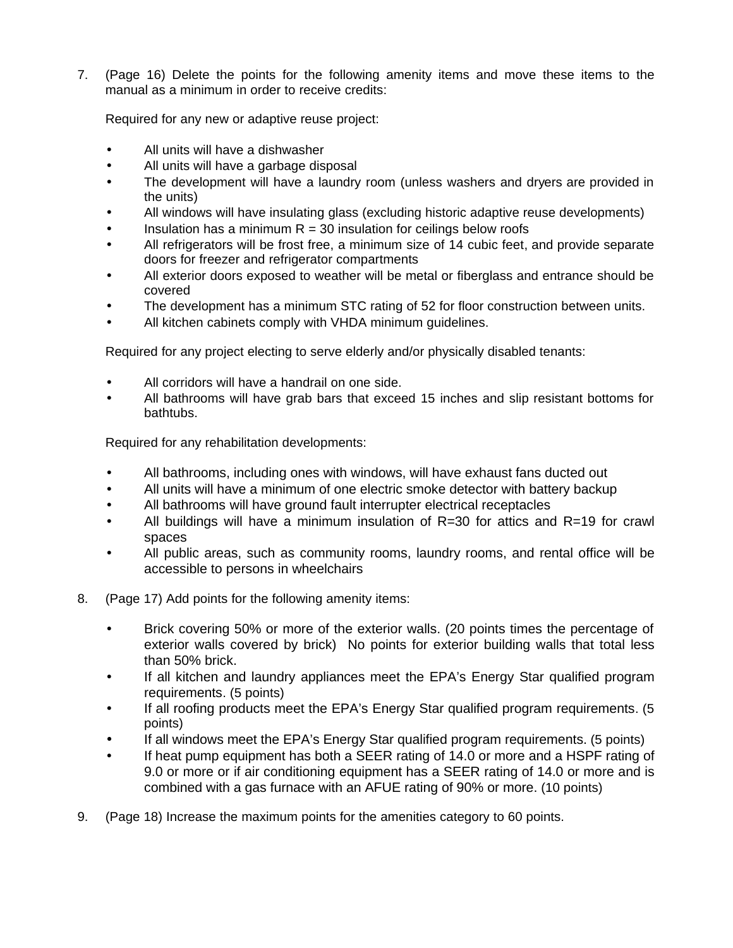7. (Page 16) Delete the points for the following amenity items and move these items to the manual as a minimum in order to receive credits:

Required for any new or adaptive reuse project:

- All units will have a dishwasher
- All units will have a garbage disposal
- The development will have a laundry room (unless washers and dryers are provided in the units)
- All windows will have insulating glass (excluding historic adaptive reuse developments)
- Insulation has a minimum  $R = 30$  insulation for ceilings below roofs
- All refrigerators will be frost free, a minimum size of 14 cubic feet, and provide separate doors for freezer and refrigerator compartments
- All exterior doors exposed to weather will be metal or fiberglass and entrance should be covered
- The development has a minimum STC rating of 52 for floor construction between units.
- All kitchen cabinets comply with VHDA minimum guidelines.

Required for any project electing to serve elderly and/or physically disabled tenants:

- All corridors will have a handrail on one side.
- All bathrooms will have grab bars that exceed 15 inches and slip resistant bottoms for bathtubs.

Required for any rehabilitation developments:

- All bathrooms, including ones with windows, will have exhaust fans ducted out
- All units will have a minimum of one electric smoke detector with battery backup
- All bathrooms will have ground fault interrupter electrical receptacles
- All buildings will have a minimum insulation of R=30 for attics and R=19 for crawl spaces
- All public areas, such as community rooms, laundry rooms, and rental office will be accessible to persons in wheelchairs
- 8. (Page 17) Add points for the following amenity items:
	- Brick covering 50% or more of the exterior walls. (20 points times the percentage of exterior walls covered by brick) No points for exterior building walls that total less than 50% brick.
	- If all kitchen and laundry appliances meet the EPA's Energy Star qualified program requirements. (5 points)
	- If all roofing products meet the EPA's Energy Star qualified program requirements. (5 points)
	- If all windows meet the EPA's Energy Star qualified program requirements. (5 points)
	- If heat pump equipment has both a SEER rating of 14.0 or more and a HSPF rating of 9.0 or more or if air conditioning equipment has a SEER rating of 14.0 or more and is combined with a gas furnace with an AFUE rating of 90% or more. (10 points)
- 9. (Page 18) Increase the maximum points for the amenities category to 60 points.